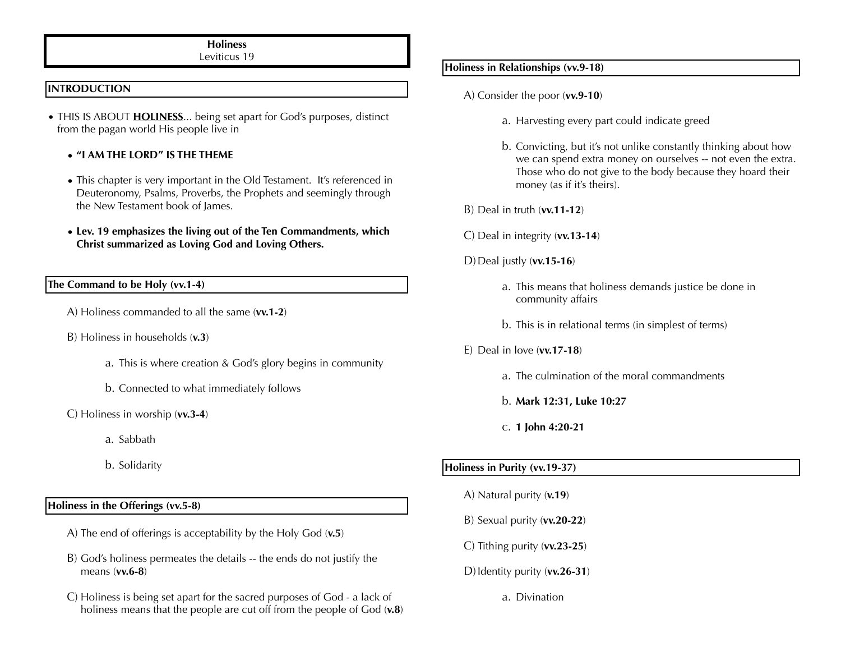## **Holiness**

Leviticus 19

#### **INTRODUCTION**

• THIS IS ABOUT **HOLINESS**... being set apart for God's purposes, distinct from the pagan world His people live in

#### **• "I AM THE LORD" IS THE THEME**

- This chapter is very important in the Old Testament. It's referenced in Deuteronomy, Psalms, Proverbs, the Prophets and seemingly through the New Testament book of James.
- **Lev. 19 emphasizes the living out of the Ten Commandments, which Christ summarized as Loving God and Loving Others.**

#### **The Command to be Holy (vv.1-4)**

- A) Holiness commanded to all the same (**vv.1-2**)
- B) Holiness in households (**v.3**)
	- a. This is where creation & God's glory begins in community
	- b. Connected to what immediately follows
- C) Holiness in worship (**vv.3-4**)
	- a. Sabbath
	- b. Solidarity

### **Holiness in the Offerings (vv.5-8)**

- A) The end of offerings is acceptability by the Holy God (**v.5**)
- B) God's holiness permeates the details -- the ends do not justify the means (**vv.6-8**)
- C) Holiness is being set apart for the sacred purposes of God a lack of holiness means that the people are cut off from the people of God (**v.8**)

## **Holiness in Relationships (vv.9-18)**

- A) Consider the poor (**vv.9-10**)
	- a. Harvesting every part could indicate greed
	- b. Convicting, but it's not unlike constantly thinking about how we can spend extra money on ourselves -- not even the extra. Those who do not give to the body because they hoard their money (as if it's theirs).
- B) Deal in truth (**vv.11-12**)
- C) Deal in integrity (**vv.13-14**)
- D)Deal justly (**vv.15-16**)
	- a. This means that holiness demands justice be done in community affairs
	- b. This is in relational terms (in simplest of terms)
- E) Deal in love (**vv.17-18**)
	- a. The culmination of the moral commandments
	- b. **Mark 12:31, Luke 10:27**
	- c. **1 John 4:20-21**

#### **Holiness in Purity (vv.19-37)**

- A) Natural purity (**v.19**)
- B) Sexual purity (**vv.20-22**)
- C) Tithing purity (**vv.23-25**)
- D)Identity purity (**vv.26-31**)
	- a. Divination